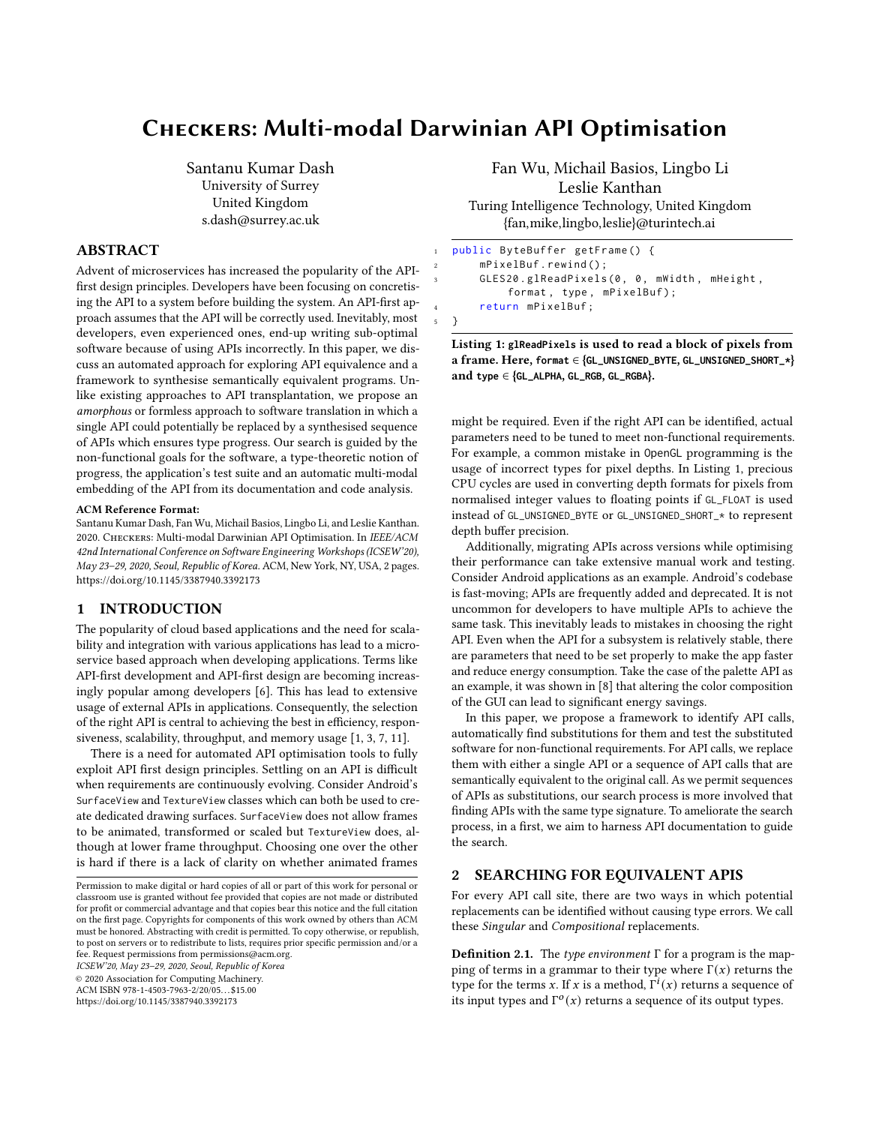# Checkers: Multi-modal Darwinian API Optimisation

Santanu Kumar Dash University of Surrey United Kingdom s.dash@surrey.ac.uk

# ABSTRACT

Advent of microservices has increased the popularity of the APIfirst design principles. Developers have been focusing on concretising the API to a system before building the system. An API-first approach assumes that the API will be correctly used. Inevitably, most developers, even experienced ones, end-up writing sub-optimal software because of using APIs incorrectly. In this paper, we discuss an automated approach for exploring API equivalence and a framework to synthesise semantically equivalent programs. Unlike existing approaches to API transplantation, we propose an amorphous or formless approach to software translation in which a single API could potentially be replaced by a synthesised sequence of APIs which ensures type progress. Our search is guided by the non-functional goals for the software, a type-theoretic notion of progress, the application's test suite and an automatic multi-modal embedding of the API from its documentation and code analysis.

#### ACM Reference Format:

Santanu Kumar Dash, Fan Wu, Michail Basios, Lingbo Li, and Leslie Kanthan. 2020. Checkers: Multi-modal Darwinian API Optimisation. In IEEE/ACM 42nd International Conference on Software Engineering Workshops (ICSEW'20), May 23–29, 2020, Seoul, Republic of Korea. ACM, New York, NY, USA, [2](#page-1-0) pages. <https://doi.org/10.1145/3387940.3392173>

## 1 INTRODUCTION

The popularity of cloud based applications and the need for scalability and integration with various applications has lead to a microservice based approach when developing applications. Terms like API-first development and API-first design are becoming increasingly popular among developers [\[6\]](#page-1-1). This has lead to extensive usage of external APIs in applications. Consequently, the selection of the right API is central to achieving the best in efficiency, responsiveness, scalability, throughput, and memory usage [\[1,](#page-1-2) [3,](#page-1-3) [7,](#page-1-4) [11\]](#page-1-5).

There is a need for automated API optimisation tools to fully exploit API first design principles. Settling on an API is difficult when requirements are continuously evolving. Consider Android's SurfaceView and TextureView classes which can both be used to create dedicated drawing surfaces. SurfaceView does not allow frames to be animated, transformed or scaled but TextureView does, although at lower frame throughput. Choosing one over the other is hard if there is a lack of clarity on whether animated frames

ICSEW'20, May 23–29, 2020, Seoul, Republic of Korea

© 2020 Association for Computing Machinery.

ACM ISBN 978-1-4503-7963-2/20/05. . . \$15.00

<https://doi.org/10.1145/3387940.3392173>

Fan Wu, Michail Basios, Lingbo Li Leslie Kanthan Turing Intelligence Technology, United Kingdom {fan,mike,lingbo,leslie}@turintech.ai

```
public ByteBuffer getFrame () {
    mPixelBuf.rewind();
    GLES20.glReadPixels (0, 0, mWidth, mHeight,
        format, type, mPixelBuf);
    return mPixelBuf;
5 }
```
Listing 1: **glReadPixels** is used to read a block of pixels from a frame. Here, **format** ∈ {**GL\_UNSIGNED\_BYTE**, **GL\_UNSIGNED\_SHORT\_\***} and **type** ∈ {**GL\_ALPHA**, **GL\_RGB**, **GL\_RGBA**}.

might be required. Even if the right API can be identified, actual parameters need to be tuned to meet non-functional requirements. For example, a common mistake in OpenGL programming is the usage of incorrect types for pixel depths. In Listing [1,](#page-0-0) precious CPU cycles are used in converting depth formats for pixels from normalised integer values to floating points if GL\_FLOAT is used instead of GL\_UNSIGNED\_BYTE or GL\_UNSIGNED\_SHORT\_\* to represent depth buffer precision.

Additionally, migrating APIs across versions while optimising their performance can take extensive manual work and testing. Consider Android applications as an example. Android's codebase is fast-moving; APIs are frequently added and deprecated. It is not uncommon for developers to have multiple APIs to achieve the same task. This inevitably leads to mistakes in choosing the right API. Even when the API for a subsystem is relatively stable, there are parameters that need to be set properly to make the app faster and reduce energy consumption. Take the case of the palette API as an example, it was shown in [\[8\]](#page-1-6) that altering the color composition of the GUI can lead to significant energy savings.

In this paper, we propose a framework to identify API calls, automatically find substitutions for them and test the substituted software for non-functional requirements. For API calls, we replace them with either a single API or a sequence of API calls that are semantically equivalent to the original call. As we permit sequences of APIs as substitutions, our search process is more involved that finding APIs with the same type signature. To ameliorate the search process, in a first, we aim to harness API documentation to guide the search.

## 2 SEARCHING FOR EQUIVALENT APIS

For every API call site, there are two ways in which potential replacements can be identified without causing type errors. We call these Singular and Compositional replacements.

**Definition 2.1.** The type environment Γ for a program is the mapping of terms in a grammar to their type where  $\Gamma(x)$  returns the type for the terms x. If x is a method,  $\overline{\Gamma}^i(x)$  returns a sequence of its input types and  $\Gamma^o(x)$  returns a sequence of its output types.

Permission to make digital or hard copies of all or part of this work for personal or classroom use is granted without fee provided that copies are not made or distributed for profit or commercial advantage and that copies bear this notice and the full citation on the first page. Copyrights for components of this work owned by others than ACM must be honored. Abstracting with credit is permitted. To copy otherwise, or republish, to post on servers or to redistribute to lists, requires prior specific permission and/or a fee. Request permissions from permissions@acm.org.